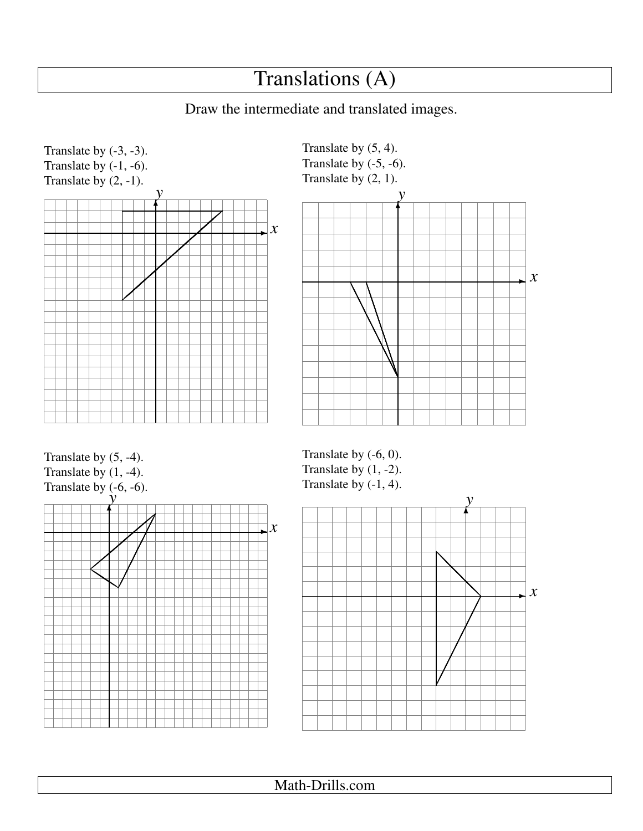## Translations (A)

## Draw the intermediate and translated images.





Translate by (5, -4). Translate by  $(1, -4)$ . Translate by  $(-6, -6)$ .



Translate by (-6, 0). Translate by  $(1, -2)$ . Translate by (-1, 4).